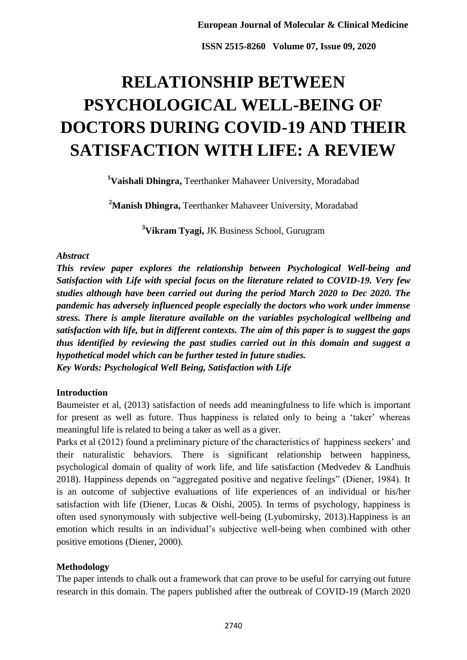# **RELATIONSHIP BETWEEN PSYCHOLOGICAL WELL-BEING OF DOCTORS DURING COVID-19 AND THEIR SATISFACTION WITH LIFE: A REVIEW**

**<sup>1</sup>Vaishali Dhingra,** Teerthanker Mahaveer University, Moradabad

**<sup>2</sup>Manish Dhingra,** Teerthanker Mahaveer University, Moradabad

**<sup>3</sup>Vikram Tyagi,** JK Business School, Gurugram

# *Abstract*

*This review paper explores the relationship between Psychological Well-being and Satisfaction with Life with special focus on the literature related to COVID-19. Very few studies although have been carried out during the period March 2020 to Dec 2020. The pandemic has adversely influenced people especially the doctors who work under immense stress. There is ample literature available on the variables psychological wellbeing and satisfaction with life, but in different contexts. The aim of this paper is to suggest the gaps thus identified by reviewing the past studies carried out in this domain and suggest a hypothetical model which can be further tested in future studies. Key Words: Psychological Well Being, Satisfaction with Life*

# **Introduction**

Baumeister et al, (2013) satisfaction of needs add meaningfulness to life which is important for present as well as future. Thus happiness is related only to being a 'taker' whereas meaningful life is related to being a taker as well as a giver.

Parks et al (2012) found a preliminary picture of the characteristics of happiness seekers' and their naturalistic behaviors. There is significant relationship between happiness, psychological domain of quality of work life, and life satisfaction (Medvedev & Landhuis 2018). Happiness depends on "aggregated positive and negative feelings" (Diener, 1984). It is an outcome of subjective evaluations of life experiences of an individual or his/her satisfaction with life (Diener, Lucas & Oishi, 2005). In terms of psychology, happiness is often used synonymously with subjective well-being (Lyubomirsky, 2013).Happiness is an emotion which results in an individual"s subjective well-being when combined with other positive emotions (Diener, 2000).

# **Methodology**

The paper intends to chalk out a framework that can prove to be useful for carrying out future research in this domain. The papers published after the outbreak of COVID-19 (March 2020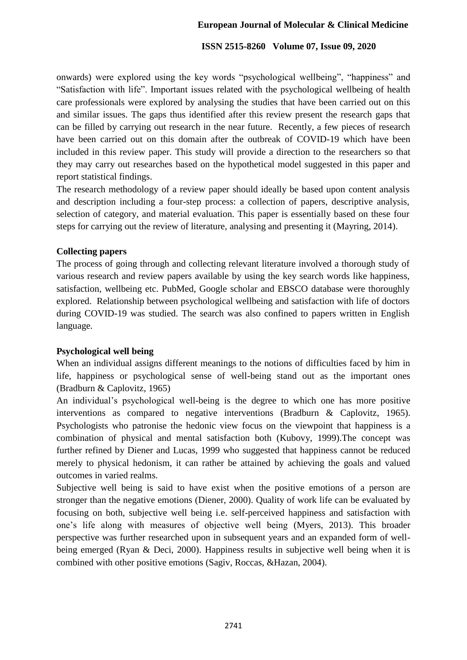# **European Journal of Molecular & Clinical Medicine**

## **ISSN 2515-8260 Volume 07, Issue 09, 2020**

onwards) were explored using the key words "psychological wellbeing", "happiness" and "Satisfaction with life". Important issues related with the psychological wellbeing of health care professionals were explored by analysing the studies that have been carried out on this and similar issues. The gaps thus identified after this review present the research gaps that can be filled by carrying out research in the near future. Recently, a few pieces of research have been carried out on this domain after the outbreak of COVID-19 which have been included in this review paper. This study will provide a direction to the researchers so that they may carry out researches based on the hypothetical model suggested in this paper and report statistical findings.

The research methodology of a review paper should ideally be based upon content analysis and description including a four-step process: a collection of papers, descriptive analysis, selection of category, and material evaluation. This paper is essentially based on these four steps for carrying out the review of literature, analysing and presenting it (Mayring, 2014).

## **Collecting papers**

The process of going through and collecting relevant literature involved a thorough study of various research and review papers available by using the key search words like happiness, satisfaction, wellbeing etc. PubMed, Google scholar and EBSCO database were thoroughly explored. Relationship between psychological wellbeing and satisfaction with life of doctors during COVID-19 was studied. The search was also confined to papers written in English language.

# **Psychological well being**

When an individual assigns different meanings to the notions of difficulties faced by him in life, happiness or psychological sense of well-being stand out as the important ones (Bradburn & Caplovitz, 1965)

An individual"s psychological well-being is the degree to which one has more positive interventions as compared to negative interventions (Bradburn & Caplovitz, 1965). Psychologists who patronise the hedonic view focus on the viewpoint that happiness is a combination of physical and mental satisfaction both (Kubovy, 1999).The concept was further refined by Diener and Lucas, 1999 who suggested that happiness cannot be reduced merely to physical hedonism, it can rather be attained by achieving the goals and valued outcomes in varied realms.

Subjective well being is said to have exist when the positive emotions of a person are stronger than the negative emotions (Diener, 2000). Quality of work life can be evaluated by focusing on both, subjective well being i.e. self-perceived happiness and satisfaction with one"s life along with measures of objective well being (Myers, 2013). This broader perspective was further researched upon in subsequent years and an expanded form of wellbeing emerged (Ryan & Deci, 2000). Happiness results in subjective well being when it is combined with other positive emotions (Sagiv, Roccas, &Hazan, 2004).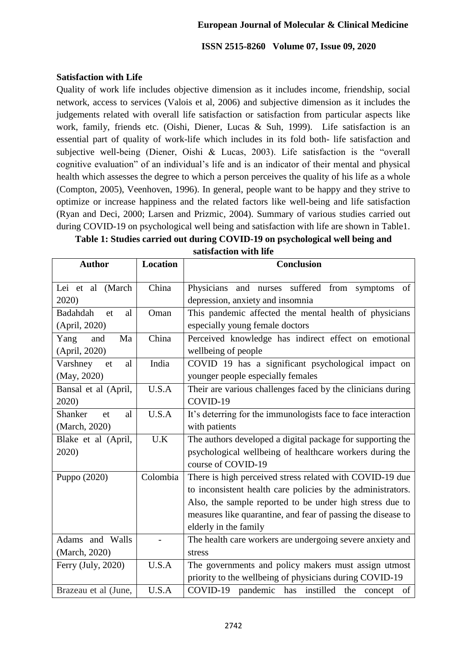## **European Journal of Molecular & Clinical Medicine**

#### **ISSN 2515-8260 Volume 07, Issue 09, 2020**

### **Satisfaction with Life**

Quality of work life includes objective dimension as it includes income, friendship, social network, access to services (Valois et al, 2006) and subjective dimension as it includes the judgements related with overall life satisfaction or satisfaction from particular aspects like work, family, friends etc. (Oishi, Diener, Lucas & Suh, 1999). Life satisfaction is an essential part of quality of work-life which includes in its fold both- life satisfaction and subjective well-being (Diener, Oishi & Lucas, 2003). Life satisfaction is the "overall cognitive evaluation" of an individual"s life and is an indicator of their mental and physical health which assesses the degree to which a person perceives the quality of his life as a whole (Compton, 2005), Veenhoven, 1996). In general, people want to be happy and they strive to optimize or increase happiness and the related factors like well-being and life satisfaction (Ryan and Deci, 2000; Larsen and Prizmic, 2004). Summary of various studies carried out during COVID-19 on psychological well being and satisfaction with life are shown in Table1.

| Table 1: Studies carried out during COVID-19 on psychological well being and |
|------------------------------------------------------------------------------|
| satisfaction with life                                                       |

| <b>Author</b>                         | <b>Location</b> | <b>Conclusion</b>                                                                                                                                                                                                                                                            |
|---------------------------------------|-----------------|------------------------------------------------------------------------------------------------------------------------------------------------------------------------------------------------------------------------------------------------------------------------------|
| Lei et al (March<br>2020)             | China           | Physicians and nurses suffered from symptoms<br>of<br>depression, anxiety and insomnia                                                                                                                                                                                       |
| Badahdah<br>al<br>et<br>(April, 2020) | Oman            | This pandemic affected the mental health of physicians<br>especially young female doctors                                                                                                                                                                                    |
| Yang<br>and<br>Ma<br>(April, 2020)    | China           | Perceived knowledge has indirect effect on emotional<br>wellbeing of people                                                                                                                                                                                                  |
| Varshney<br>al<br>et<br>(May, 2020)   | India           | COVID 19 has a significant psychological impact on<br>younger people especially females                                                                                                                                                                                      |
| Bansal et al (April,<br>2020)         | U.S.A           | Their are various challenges faced by the clinicians during<br>COVID-19                                                                                                                                                                                                      |
| Shanker<br>et<br>al<br>(March, 2020)  | U.S.A           | It's deterring for the immunologists face to face interaction<br>with patients                                                                                                                                                                                               |
| Blake et al (April,<br>2020)          | U.K             | The authors developed a digital package for supporting the<br>psychological wellbeing of healthcare workers during the<br>course of COVID-19                                                                                                                                 |
| Puppo (2020)                          | Colombia        | There is high perceived stress related with COVID-19 due<br>to inconsistent health care policies by the administrators.<br>Also, the sample reported to be under high stress due to<br>measures like quarantine, and fear of passing the disease to<br>elderly in the family |
| Adams and Walls<br>(March, 2020)      |                 | The health care workers are undergoing severe anxiety and<br>stress                                                                                                                                                                                                          |
| Ferry (July, 2020)                    | U.S.A           | The governments and policy makers must assign utmost<br>priority to the wellbeing of physicians during COVID-19                                                                                                                                                              |
| Brazeau et al (June,                  | U.S.A           | COVID-19 pandemic has instilled the concept<br>of                                                                                                                                                                                                                            |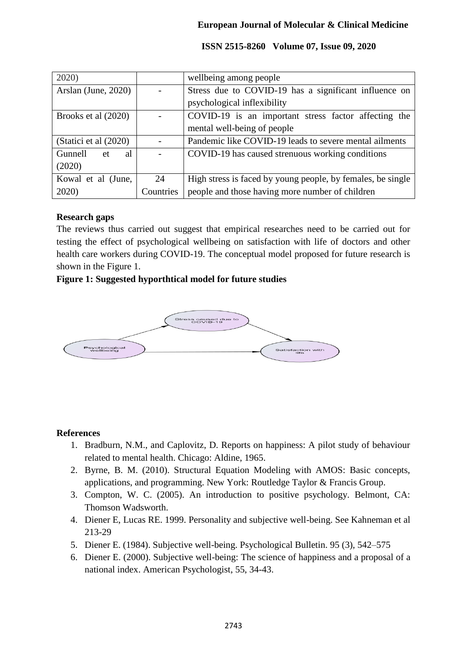| 2020)                  |           | wellbeing among people                                      |
|------------------------|-----------|-------------------------------------------------------------|
| Arslan (June, $2020$ ) |           | Stress due to COVID-19 has a significant influence on       |
|                        |           | psychological inflexibility                                 |
| Brooks et al (2020)    |           | COVID-19 is an important stress factor affecting the        |
|                        |           | mental well-being of people                                 |
| (Statici et al (2020)  |           | Pandemic like COVID-19 leads to severe mental ailments      |
| al<br>Gunnell<br>et    |           | COVID-19 has caused strenuous working conditions            |
| (2020)                 |           |                                                             |
| Kowal et al (June,     | 24        | High stress is faced by young people, by females, be single |
| 2020)                  | Countries | people and those having more number of children             |

# **Research gaps**

The reviews thus carried out suggest that empirical researches need to be carried out for testing the effect of psychological wellbeing on satisfaction with life of doctors and other health care workers during COVID-19. The conceptual model proposed for future research is shown in the Figure 1.

# **Figure 1: Suggested hyporthtical model for future studies**



# **References**

- 1. Bradburn, N.M., and Caplovitz, D. Reports on happiness: A pilot study of behaviour related to mental health. Chicago: Aldine, 1965.
- 2. Byrne, B. M. (2010). Structural Equation Modeling with AMOS: Basic concepts, applications, and programming. New York: Routledge Taylor & Francis Group.
- 3. Compton, W. C. (2005). An introduction to positive psychology. Belmont, CA: Thomson Wadsworth.
- 4. Diener E, Lucas RE. 1999. Personality and subjective well-being. See Kahneman et al 213-29
- 5. Diener E. (1984). Subjective well-being. Psychological Bulletin. 95 (3), 542–575
- 6. Diener E. (2000). Subjective well-being: The science of happiness and a proposal of a national index. American Psychologist, 55, 34-43.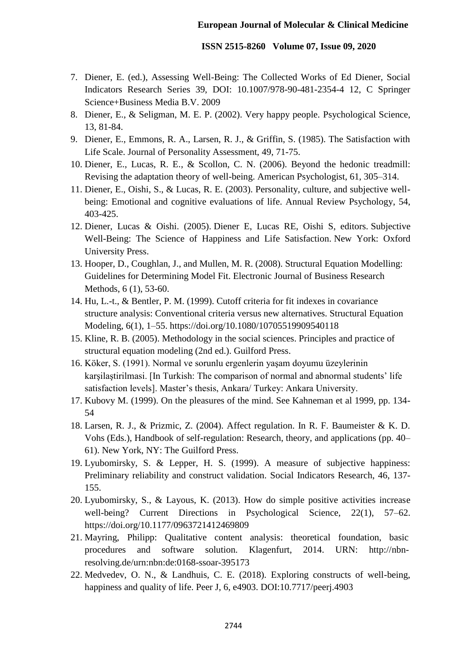- 7. Diener, E. (ed.), Assessing Well-Being: The Collected Works of Ed Diener, Social Indicators Research Series 39, DOI: 10.1007/978-90-481-2354-4 12, C Springer Science+Business Media B.V. 2009
- 8. Diener, E., & Seligman, M. E. P. (2002). Very happy people. Psychological Science, 13, 81-84.
- 9. Diener, E., Emmons, R. A., Larsen, R. J., & Griffin, S. (1985). The Satisfaction with Life Scale. Journal of Personality Assessment, 49, 71-75.
- 10. Diener, E., Lucas, R. E., & Scollon, C. N. (2006). Beyond the hedonic treadmill: Revising the adaptation theory of well-being. American Psychologist, 61, 305–314.
- 11. Diener, E., Oishi, S., & Lucas, R. E. (2003). Personality, culture, and subjective wellbeing: Emotional and cognitive evaluations of life. Annual Review Psychology, 54, 403-425.
- 12. Diener, Lucas & Oishi. (2005). Diener E, Lucas RE, Oishi S, editors. Subjective Well-Being: The Science of Happiness and Life Satisfaction. New York: Oxford University Press.
- 13. Hooper, D., Coughlan, J., and Mullen, M. R. (2008). Structural Equation Modelling: Guidelines for Determining Model Fit. Electronic Journal of Business Research Methods, 6 (1), 53-60.
- 14. Hu, L.-t., & Bentler, P. M. (1999). Cutoff criteria for fit indexes in covariance structure analysis: Conventional criteria versus new alternatives. Structural Equation Modeling, 6(1), 1–55. https://doi.org/10.1080/10705519909540118
- 15. Kline, R. B. (2005). Methodology in the social sciences. Principles and practice of structural equation modeling (2nd ed.). Guilford Press.
- 16. Köker, S. (1991). Normal ve sorunlu ergenlerin yaşam doyumu üzeylerinin karşilaştirilmasi. [In Turkish: The comparison of normal and abnormal students' life satisfaction levels]. Master's thesis, Ankara/ Turkey: Ankara University.
- 17. Kubovy M. (1999). On the pleasures of the mind. See Kahneman et al 1999, pp. 134- 54
- 18. Larsen, R. J., & Prizmic, Z. (2004). Affect regulation. In R. F. Baumeister & K. D. Vohs (Eds.), Handbook of self-regulation: Research, theory, and applications (pp. 40– 61). New York, NY: The Guilford Press.
- 19. Lyubomirsky, S. & Lepper, H. S. (1999). A measure of subjective happiness: Preliminary reliability and construct validation. Social Indicators Research, 46, 137- 155.
- 20. Lyubomirsky, S., & Layous, K. (2013). How do simple positive activities increase well-being? Current Directions in Psychological Science, 22(1), 57–62. https://doi.org/10.1177/0963721412469809
- 21. Mayring, Philipp: Qualitative content analysis: theoretical foundation, basic procedures and software solution. Klagenfurt, 2014. URN: http://nbnresolving.de/urn:nbn:de:0168-ssoar-395173
- 22. Medvedev, O. N., & Landhuis, C. E. (2018). Exploring constructs of well-being, happiness and quality of life. Peer J, 6, e4903. DOI:10.7717/peerj.4903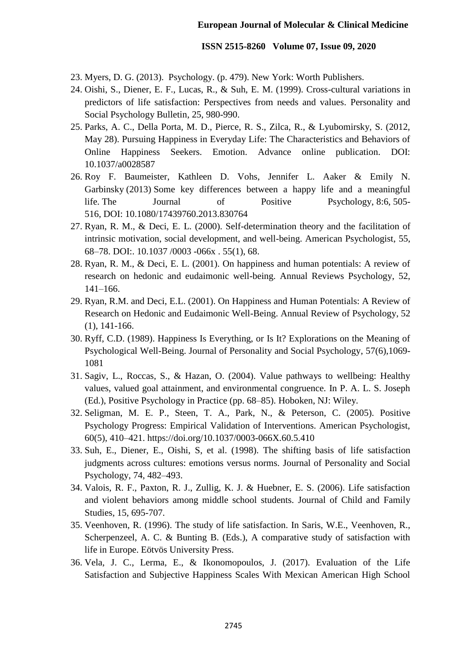- 23. Myers, D. G. (2013). Psychology. (p. 479). New York: Worth Publishers.
- 24. Oishi, S., Diener, E. F., Lucas, R., & Suh, E. M. (1999). Cross-cultural variations in predictors of life satisfaction: Perspectives from needs and values. Personality and Social Psychology Bulletin, 25, 980-990.
- 25. Parks, A. C., Della Porta, M. D., Pierce, R. S., Zilca, R., & Lyubomirsky, S. (2012, May 28). Pursuing Happiness in Everyday Life: The Characteristics and Behaviors of Online Happiness Seekers. Emotion. Advance online publication. DOI: 10.1037/a0028587
- 26. Roy F. Baumeister, Kathleen D. Vohs, Jennifer L. Aaker & Emily N. Garbinsky (2013) Some key differences between a happy life and a meaningful life. The Journal of Positive Psychology, 8:6, 505- 516, DOI: 10.1080/17439760.2013.830764
- 27. Ryan, R. M., & Deci, E. L. (2000). Self-determination theory and the facilitation of intrinsic motivation, social development, and well-being. American Psychologist, 55, 68–78. DOI:. 10.1037 /0003 -066x . 55(1), 68.
- 28. Ryan, R. M., & Deci, E. L. (2001). On happiness and human potentials: A review of research on hedonic and eudaimonic well-being. Annual Reviews Psychology, 52, 141–166.
- 29. Ryan, R.M. and Deci, E.L. (2001). On Happiness and Human Potentials: A Review of Research on Hedonic and Eudaimonic Well-Being. Annual Review of Psychology, 52 (1), 141-166.
- 30. Ryff, C.D. (1989). Happiness Is Everything, or Is It? Explorations on the Meaning of Psychological Well-Being. Journal of Personality and Social Psychology, 57(6),1069- 1081
- 31. Sagiv, L., Roccas, S., & Hazan, O. (2004). Value pathways to wellbeing: Healthy values, valued goal attainment, and environmental congruence. In P. A. L. S. Joseph (Ed.), Positive Psychology in Practice (pp. 68–85). Hoboken, NJ: Wiley.
- 32. Seligman, M. E. P., Steen, T. A., Park, N., & Peterson, C. (2005). Positive Psychology Progress: Empirical Validation of Interventions. American Psychologist, 60(5), 410–421. https://doi.org/10.1037/0003-066X.60.5.410
- 33. Suh, E., Diener, E., Oishi, S, et al. (1998). The shifting basis of life satisfaction judgments across cultures: emotions versus norms. Journal of Personality and Social Psychology, 74, 482–493.
- 34. Valois, R. F., Paxton, R. J., Zullig, K. J. & Huebner, E. S. (2006). Life satisfaction and violent behaviors among middle school students. Journal of Child and Family Studies, 15, 695-707.
- 35. Veenhoven, R. (1996). The study of life satisfaction. In Saris, W.E., Veenhoven, R., Scherpenzeel, A. C. & Bunting B. (Eds.), A comparative study of satisfaction with life in Europe. Eötvös University Press.
- 36. Vela, J. C., Lerma, E., & Ikonomopoulos, J. (2017). Evaluation of the Life Satisfaction and Subjective Happiness Scales With Mexican American High School